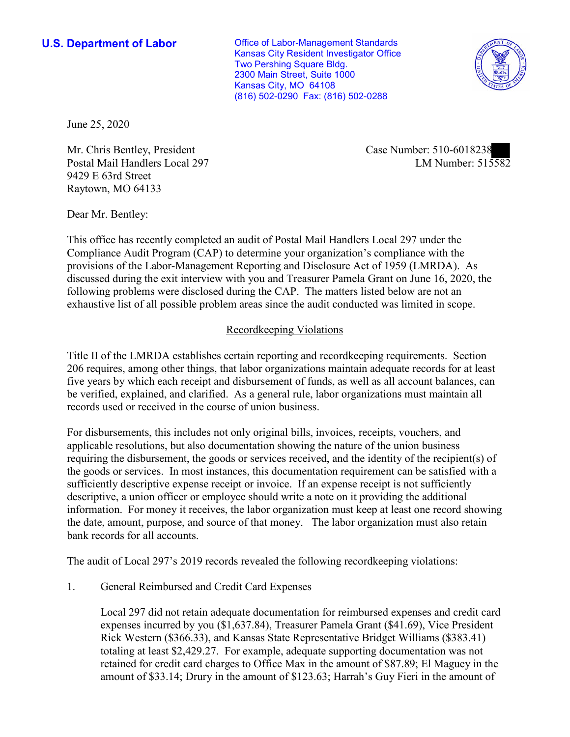**U.S. Department of Labor Conservative Conservative Conservative Conservative U.S.** Department of Labor Kansas City Resident Investigator Office Two Pershing Square Bldg. 2300 Main Street, Suite 1000 Kansas City, MO 64108 (816) 502-0290 Fax: (816) 502-0288



June 25, 2020

Mr. Chris Bentley, President Postal Mail Handlers Local 297 9429 E 63rd Street Raytown, MO 64133

Case Number: 510-6018238<br>LM Number: 515582

Dear Mr. Bentley:

 This office has recently completed an audit of Postal Mail Handlers Local 297 under the Compliance Audit Program (CAP) to determine your organization's compliance with the provisions of the Labor-Management Reporting and Disclosure Act of 1959 (LMRDA). As discussed during the exit interview with you and Treasurer Pamela Grant on June 16, 2020, the following problems were disclosed during the CAP. The matters listed below are not an exhaustive list of all possible problem areas since the audit conducted was limited in scope.

## Recordkeeping Violations

 Title II of the LMRDA establishes certain reporting and recordkeeping requirements. Section 206 requires, among other things, that labor organizations maintain adequate records for at least be verified, explained, and clarified. As a general rule, labor organizations must maintain all five years by which each receipt and disbursement of funds, as well as all account balances, can records used or received in the course of union business.

 bank records for all accounts. For disbursements, this includes not only original bills, invoices, receipts, vouchers, and applicable resolutions, but also documentation showing the nature of the union business requiring the disbursement, the goods or services received, and the identity of the recipient(s) of the goods or services. In most instances, this documentation requirement can be satisfied with a sufficiently descriptive expense receipt or invoice. If an expense receipt is not sufficiently descriptive, a union officer or employee should write a note on it providing the additional information. For money it receives, the labor organization must keep at least one record showing the date, amount, purpose, and source of that money. The labor organization must also retain

The audit of Local 297's 2019 records revealed the following recordkeeping violations:

1. General Reimbursed and Credit Card Expenses

Local 297 did not retain adequate documentation for reimbursed expenses and credit card expenses incurred by you ([\\$1,637.84](https://1,637.84)), Treasurer Pamela Grant (\$41.69), Vice President Rick Western (\$366.33), and Kansas State Representative Bridget Williams (\$383.41) totaling at least [\\$2,429.27](https://2,429.27). For example, adequate supporting documentation was not retained for credit card charges to Office Max in the amount of \$87.89; El Maguey in the amount of \$33.14; Drury in the amount of \$123.63; Harrah's Guy Fieri in the amount of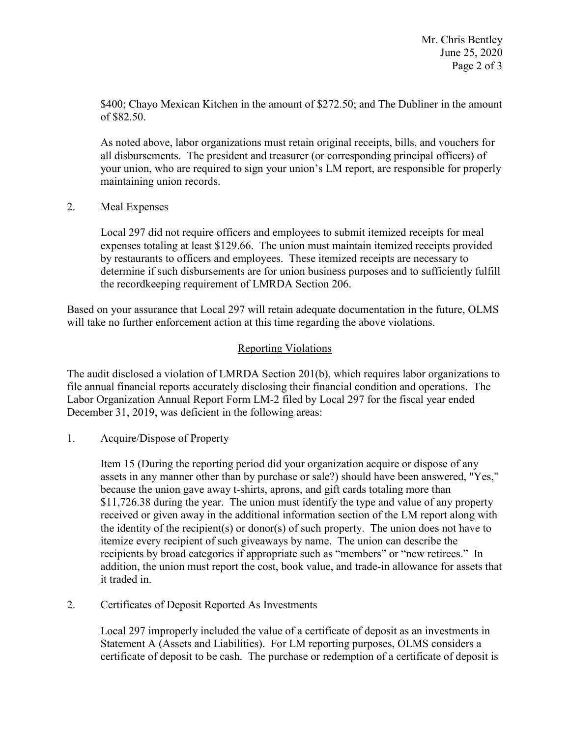\$400; Chayo Mexican Kitchen in the amount of \$272.50; and The Dubliner in the amount of \$82.50.

 all disbursements. The president and treasurer (or corresponding principal officers) of As noted above, labor organizations must retain original receipts, bills, and vouchers for your union, who are required to sign your union's LM report, are responsible for properly maintaining union records.

2. Meal Expenses

Local 297 did not require officers and employees to submit itemized receipts for meal expenses totaling at least \$129.66. The union must maintain itemized receipts provided by restaurants to officers and employees. These itemized receipts are necessary to determine if such disbursements are for union business purposes and to sufficiently fulfill the recordkeeping requirement of LMRDA Section 206.

 Based on your assurance that Local 297 will retain adequate documentation in the future, OLMS will take no further enforcement action at this time regarding the above violations.

## Reporting Violations

 Labor Organization Annual Report Form LM-2 filed by Local 297 for the fiscal year ended The audit disclosed a violation of LMRDA Section 201(b), which requires labor organizations to file annual financial reports accurately disclosing their financial condition and operations. The December 31, 2019, was deficient in the following areas:

1. Acquire/Dispose of Property

 because the union gave away t-shirts, aprons, and gift cards totaling more than \$[11,726.38](https://11,726.38) during the year. The union must identify the type and value of any property Item 15 (During the reporting period did your organization acquire or dispose of any assets in any manner other than by purchase or sale?) should have been answered, "Yes," received or given away in the additional information section of the LM report along with the identity of the recipient(s) or donor(s) of such property. The union does not have to itemize every recipient of such giveaways by name. The union can describe the recipients by broad categories if appropriate such as "members" or "new retirees." In addition, the union must report the cost, book value, and trade-in allowance for assets that it traded in.

2. Certificates of Deposit Reported As Investments

Local 297 improperly included the value of a certificate of deposit as an investments in Statement A (Assets and Liabilities). For LM reporting purposes, OLMS considers a certificate of deposit to be cash. The purchase or redemption of a certificate of deposit is